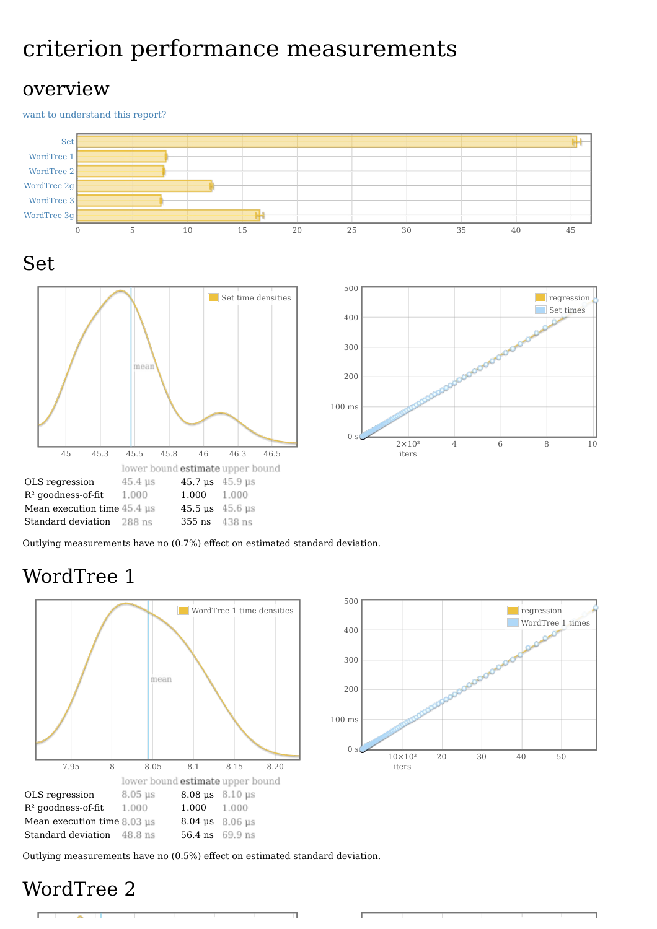# criterion performance measurements

#### overview

want to [understand](file:///home/jean-luc/Programmation/Haskell/Benchmark/Words/report-construct-full1.html#grokularation) this report?



Outlying measurements have no (0.7%) effect on estimated standard deviation.

# WordTree 1





Outlying measurements have no (0.5%) effect on estimated standard deviation.

### WordTree 2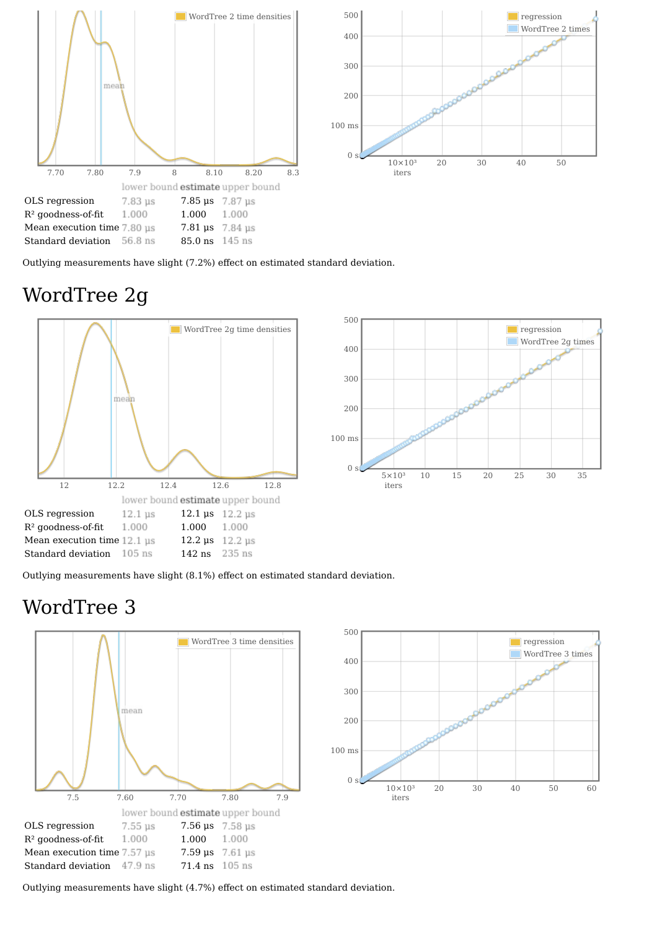

Outlying measurements have slight (7.2%) effect on estimated standard deviation.

# WordTree 2g





Outlying measurements have slight (8.1%) effect on estimated standard deviation.

### WordTree 3





Outlying measurements have slight (4.7%) effect on estimated standard deviation.